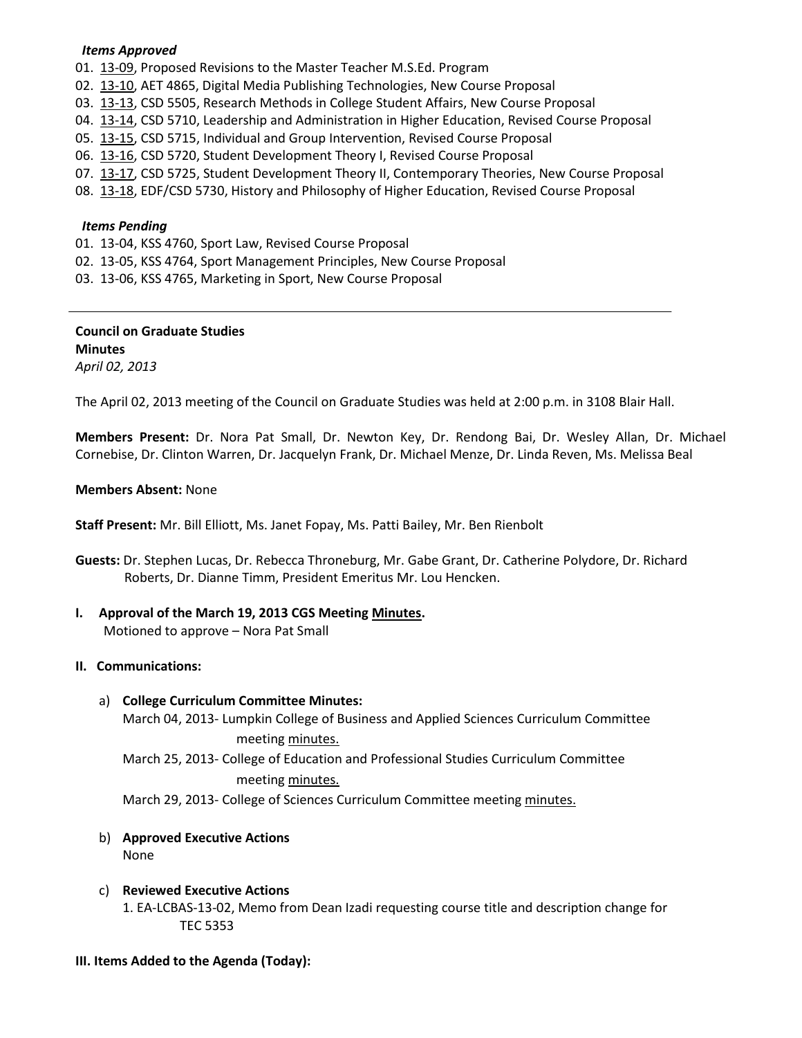### *Items Approved*

- 01. [13-09,](http://castle.eiu.edu/~eiucgs/currentagendaitems/agenda13-09.pdf) Proposed Revisions to the Master Teacher M.S.Ed. Program
- 02. [13-10,](http://castle.eiu.edu/~eiucgs/currentagendaitems/agenda13-10.pdf) AET 4865, Digital Media Publishing Technologies, New Course Proposal
- 03. [13-13,](http://castle.eiu.edu/~eiucgs/currentagendaitems/agenda13-13.pdf) CSD 5505, Research Methods in College Student Affairs, New Course Proposal
- 04. [13-14,](http://castle.eiu.edu/~eiucgs/currentagendaitems/agenda13-14.pdf) CSD 5710, Leadership and Administration in Higher Education, Revised Course Proposal
- 05. [13-15,](http://castle.eiu.edu/~eiucgs/currentagendaitems/agenda13-15.pdf) CSD 5715, Individual and Group Intervention, Revised Course Proposal
- 06. [13-16,](http://castle.eiu.edu/~eiucgs/currentagendaitems/agenda13-16.pdf) CSD 5720, Student Development Theory I, Revised Course Proposal
- 07. [13-17,](http://castle.eiu.edu/~eiucgs/currentagendaitems/agenda13-17.pdf) CSD 5725, Student Development Theory II, Contemporary Theories, New Course Proposal
- 08. [13-18,](http://castle.eiu.edu/~eiucgs/currentagendaitems/agenda13-18.pdf) EDF/CSD 5730, History and Philosophy of Higher Education, Revised Course Proposal

### *Items Pending*

- 01. 13-04, KSS 4760, Sport Law, Revised Course Proposal
- 02. 13-05, KSS 4764, Sport Management Principles, New Course Proposal
- 03. 13-06, KSS 4765, Marketing in Sport, New Course Proposal

## **Council on Graduate Studies Minutes**

*April 02, 2013*

The April 02, 2013 meeting of the Council on Graduate Studies was held at 2:00 p.m. in 3108 Blair Hall.

**Members Present:** Dr. Nora Pat Small, Dr. Newton Key, Dr. Rendong Bai, Dr. Wesley Allan, Dr. Michael Cornebise, Dr. Clinton Warren, Dr. Jacquelyn Frank, Dr. Michael Menze, Dr. Linda Reven, Ms. Melissa Beal

### **Members Absent:** None

**Staff Present:** Mr. Bill Elliott, Ms. Janet Fopay, Ms. Patti Bailey, Mr. Ben Rienbolt

**Guests:** Dr. Stephen Lucas, Dr. Rebecca Throneburg, Mr. Gabe Grant, Dr. Catherine Polydore, Dr. Richard Roberts, Dr. Dianne Timm, President Emeritus Mr. Lou Hencken.

## **I. Approval of the March 19, 2013 CGS Meeting [Minutes.](http://castle.eiu.edu/eiucgs/currentminutes/Minutes03-19-13.pdf)**

Motioned to approve – Nora Pat Small

## **II. Communications:**

### a) **College Curriculum Committee Minutes:**

March 04, 2013- Lumpkin College of Business and Applied Sciences Curriculum Committee meeting [minutes.](http://castle.eiu.edu/~eiucgs/currentagendaitems/LCBASMin03-04-13.pdf)

March 25, 2013- College of Education and Professional Studies Curriculum Committee meeting [minutes.](http://castle.eiu.edu/~eiucgs/currentagendaitems/CEPSMin03-25-13.pdf)

March 29, 2013- College of Sciences Curriculum Committee meeting [minutes.](http://castle.eiu.edu/~eiucgs/currentagendaitems/COSMin03-29-13.pdf)

# b) **Approved Executive Actions**

None

c) **Reviewed Executive Actions** 1. EA-LCBAS-13-02, Memo from Dean Izadi requesting course title and description change for TEC 5353

### **III. Items Added to the Agenda (Today):**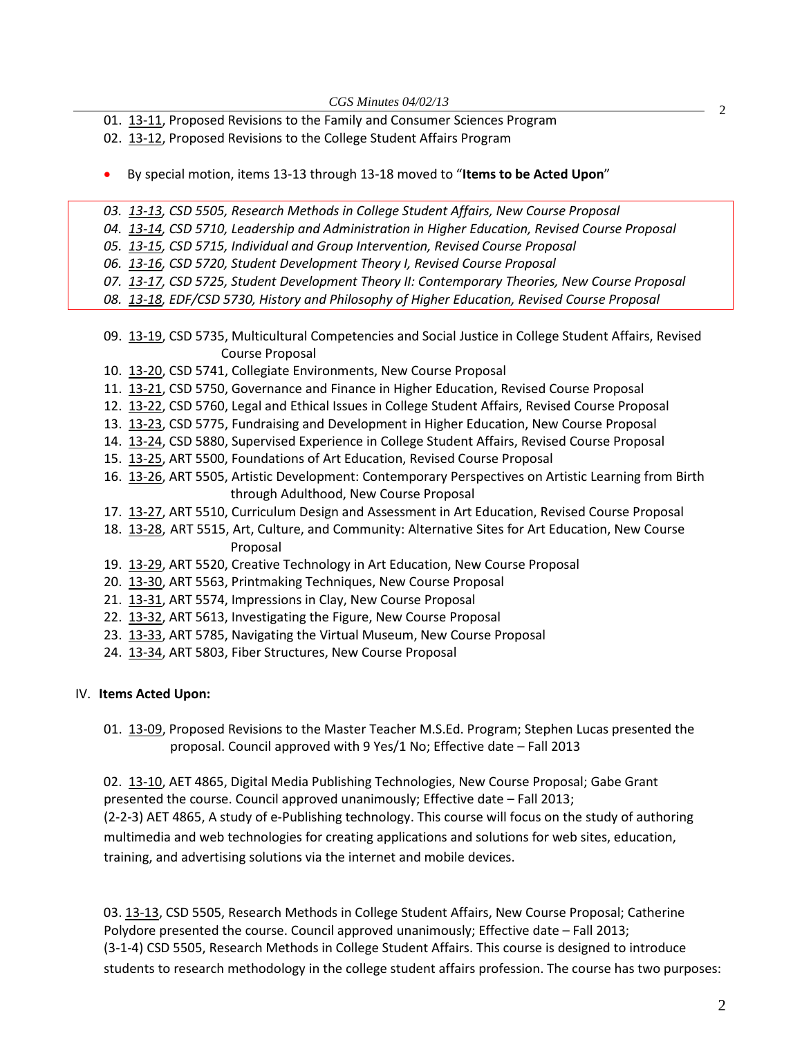01. [13-11,](http://castle.eiu.edu/~eiucgs/currentagendaitems/agenda13-11.pdf) Proposed Revisions to the Family and Consumer Sciences Program

- 02. [13-12,](http://castle.eiu.edu/~eiucgs/currentagendaitems/agenda13-12.pdf) Proposed Revisions to the College Student Affairs Program
- By special motion, items 13-13 through 13-18 moved to "**Items to be Acted Upon**"

*03. [13-13,](http://castle.eiu.edu/~eiucgs/currentagendaitems/agenda13-13.pdf) CSD 5505, Research Methods in College Student Affairs, New Course Proposal*

*04. [13-14,](http://castle.eiu.edu/~eiucgs/currentagendaitems/agenda13-14.pdf) CSD 5710, Leadership and Administration in Higher Education, Revised Course Proposal*

*05. [13-15,](http://castle.eiu.edu/~eiucgs/currentagendaitems/agenda13-15.pdf) CSD 5715, Individual and Group Intervention, Revised Course Proposal*

*06. [13-16,](http://castle.eiu.edu/~eiucgs/currentagendaitems/agenda13-16.pdf) CSD 5720, Student Development Theory I, Revised Course Proposal*

*07. [13-17,](http://castle.eiu.edu/~eiucgs/currentagendaitems/agenda13-17.pdf) CSD 5725, Student Development Theory II: Contemporary Theories, New Course Proposal*

*08. [13-18,](http://castle.eiu.edu/~eiucgs/currentagendaitems/agenda13-18.pdf) EDF/CSD 5730, History and Philosophy of Higher Education, Revised Course Proposal*

- 09. [13-19,](http://castle.eiu.edu/~eiucgs/currentagendaitems/agenda13-19.pdf) CSD 5735, Multicultural Competencies and Social Justice in College Student Affairs, Revised Course Proposal
- 10. [13-20,](http://castle.eiu.edu/~eiucgs/currentagendaitems/agenda13-20.pdf) CSD 5741, Collegiate Environments, New Course Proposal
- 11. [13-21,](http://castle.eiu.edu/~eiucgs/currentagendaitems/agenda13-21.pdf) CSD 5750, Governance and Finance in Higher Education, Revised Course Proposal
- 12. [13-22,](http://castle.eiu.edu/~eiucgs/currentagendaitems/agenda13-22.pdf) CSD 5760, Legal and Ethical Issues in College Student Affairs, Revised Course Proposal
- 13. [13-23,](http://castle.eiu.edu/~eiucgs/currentagendaitems/agenda13-23.pdf) CSD 5775, Fundraising and Development in Higher Education, New Course Proposal
- 14. [13-24,](http://castle.eiu.edu/~eiucgs/currentagendaitems/agenda13-24.pdf) CSD 5880, Supervised Experience in College Student Affairs, Revised Course Proposal
- 15. [13-25,](http://castle.eiu.edu/~eiucgs/currentagendaitems/agenda13-25.pdf) ART 5500, Foundations of Art Education, Revised Course Proposal
- 16. [13-26,](http://castle.eiu.edu/~eiucgs/currentagendaitems/agenda13-26.pdf) ART 5505, Artistic Development: Contemporary Perspectives on Artistic Learning from Birth through Adulthood, New Course Proposal
- 17. [13-27,](http://castle.eiu.edu/~eiucgs/currentagendaitems/agenda13-27.pdf) ART 5510, Curriculum Design and Assessment in Art Education, Revised Course Proposal
- 18. [13-28,](http://castle.eiu.edu/~eiucgs/currentagendaitems/agenda13-28.pdf) ART 5515, Art, Culture, and Community: Alternative Sites for Art Education, New Course Proposal
- 19. [13-29,](http://castle.eiu.edu/~eiucgs/currentagendaitems/agenda13-29.pdf) ART 5520, Creative Technology in Art Education, New Course Proposal
- 20. [13-30,](http://castle.eiu.edu/~eiucgs/currentagendaitems/agenda13-30.pdf) ART 5563, Printmaking Techniques, New Course Proposal
- 21. [13-31,](http://castle.eiu.edu/~eiucgs/currentagendaitems/agenda13-31.pdf) ART 5574, Impressions in Clay, New Course Proposal
- 22. [13-32,](http://castle.eiu.edu/~eiucgs/currentagendaitems/agenda13-32.pdf) ART 5613, Investigating the Figure, New Course Proposal
- 23. [13-33,](http://castle.eiu.edu/~eiucgs/currentagendaitems/agenda13-33.pdf) ART 5785, Navigating the Virtual Museum, New Course Proposal
- 24. [13-34,](http://castle.eiu.edu/~eiucgs/currentagendaitems/agenda13-34.pdf) ART 5803, Fiber Structures, New Course Proposal

## IV. **Items Acted Upon:**

01. [13-09,](http://castle.eiu.edu/~eiucgs/currentagendaitems/agenda13-09.pdf) Proposed Revisions to the Master Teacher M.S.Ed. Program; Stephen Lucas presented the proposal. Council approved with 9 Yes/1 No; Effective date – Fall 2013

02. [13-10,](http://castle.eiu.edu/~eiucgs/currentagendaitems/agenda13-10.pdf) AET 4865, Digital Media Publishing Technologies, New Course Proposal; Gabe Grant presented the course. Council approved unanimously; Effective date – Fall 2013; (2-2-3) AET 4865, A study of e-Publishing technology. This course will focus on the study of authoring multimedia and web technologies for creating applications and solutions for web sites, education, training, and advertising solutions via the internet and mobile devices.

03[. 13-13,](http://castle.eiu.edu/~eiucgs/currentagendaitems/agenda13-13.pdf) CSD 5505, Research Methods in College Student Affairs, New Course Proposal; Catherine Polydore presented the course. Council approved unanimously; Effective date – Fall 2013; (3-1-4) CSD 5505, Research Methods in College Student Affairs. This course is designed to introduce students to research methodology in the college student affairs profession. The course has two purposes:

2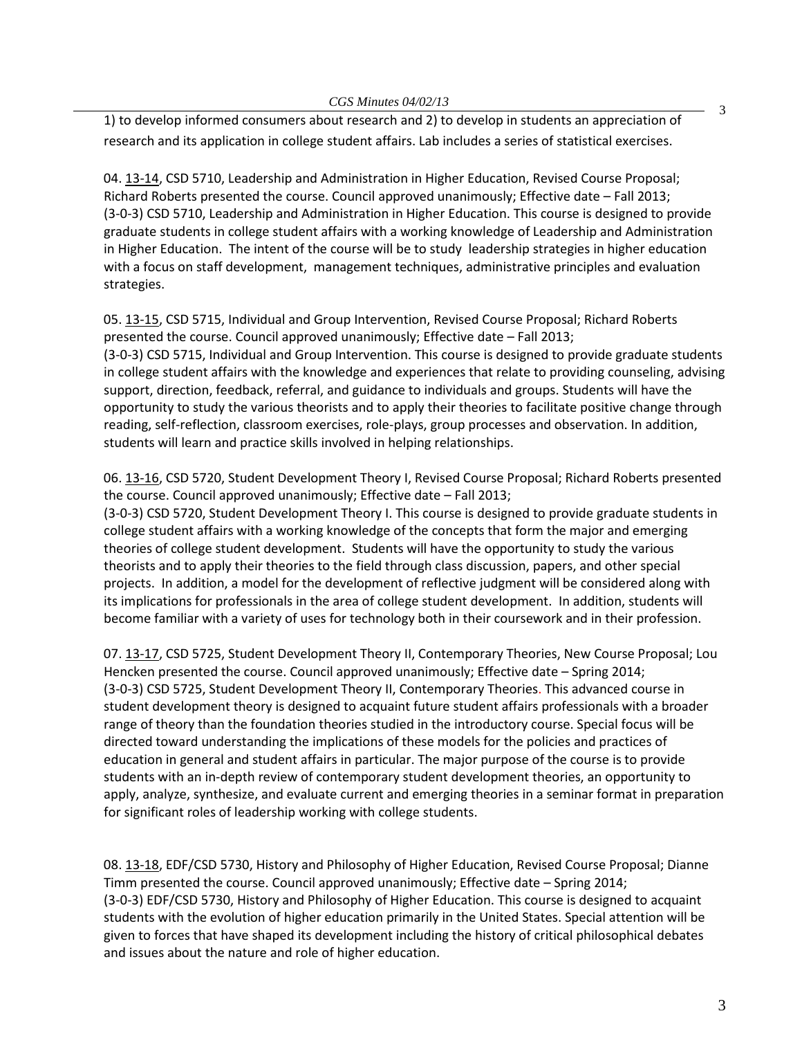3

1) to develop informed consumers about research and 2) to develop in students an appreciation of research and its application in college student affairs. Lab includes a series of statistical exercises.

04. [13-14,](http://castle.eiu.edu/~eiucgs/currentagendaitems/agenda13-14.pdf) CSD 5710, Leadership and Administration in Higher Education, Revised Course Proposal; Richard Roberts presented the course. Council approved unanimously; Effective date – Fall 2013; (3-0-3) CSD 5710, Leadership and Administration in Higher Education. This course is designed to provide graduate students in college student affairs with a working knowledge of Leadership and Administration in Higher Education. The intent of the course will be to study leadership strategies in higher education with a focus on staff development, management techniques, administrative principles and evaluation strategies.

05[. 13-15,](http://castle.eiu.edu/~eiucgs/currentagendaitems/agenda13-15.pdf) CSD 5715, Individual and Group Intervention, Revised Course Proposal; Richard Roberts presented the course. Council approved unanimously; Effective date – Fall 2013; (3-0-3) CSD 5715, Individual and Group Intervention. This course is designed to provide graduate students in college student affairs with the knowledge and experiences that relate to providing counseling, advising support, direction, feedback, referral, and guidance to individuals and groups. Students will have the opportunity to study the various theorists and to apply their theories to facilitate positive change through reading, self-reflection, classroom exercises, role-plays, group processes and observation. In addition, students will learn and practice skills involved in helping relationships.

06[. 13-16,](http://castle.eiu.edu/~eiucgs/currentagendaitems/agenda13-16.pdf) CSD 5720, Student Development Theory I, Revised Course Proposal; Richard Roberts presented the course. Council approved unanimously; Effective date – Fall 2013;

(3-0-3) CSD 5720, Student Development Theory I. This course is designed to provide graduate students in college student affairs with a working knowledge of the concepts that form the major and emerging theories of college student development. Students will have the opportunity to study the various theorists and to apply their theories to the field through class discussion, papers, and other special projects. In addition, a model for the development of reflective judgment will be considered along with its implications for professionals in the area of college student development. In addition, students will become familiar with a variety of uses for technology both in their coursework and in their profession.

07[. 13-17,](http://castle.eiu.edu/~eiucgs/currentagendaitems/agenda13-17.pdf) CSD 5725, Student Development Theory II, Contemporary Theories, New Course Proposal; Lou Hencken presented the course. Council approved unanimously; Effective date – Spring 2014; (3-0-3) CSD 5725, Student Development Theory II, Contemporary Theories. This advanced course in student development theory is designed to acquaint future student affairs professionals with a broader range of theory than the foundation theories studied in the introductory course. Special focus will be directed toward understanding the implications of these models for the policies and practices of education in general and student affairs in particular. The major purpose of the course is to provide students with an in-depth review of contemporary student development theories, an opportunity to apply, analyze, synthesize, and evaluate current and emerging theories in a seminar format in preparation for significant roles of leadership working with college students.

08[. 13-18,](http://castle.eiu.edu/~eiucgs/currentagendaitems/agenda13-18.pdf) EDF/CSD 5730, History and Philosophy of Higher Education, Revised Course Proposal; Dianne Timm presented the course. Council approved unanimously; Effective date – Spring 2014; (3-0-3) EDF/CSD 5730, History and Philosophy of Higher Education. This course is designed to acquaint students with the evolution of higher education primarily in the United States. Special attention will be given to forces that have shaped its development including the history of critical philosophical debates and issues about the nature and role of higher education.